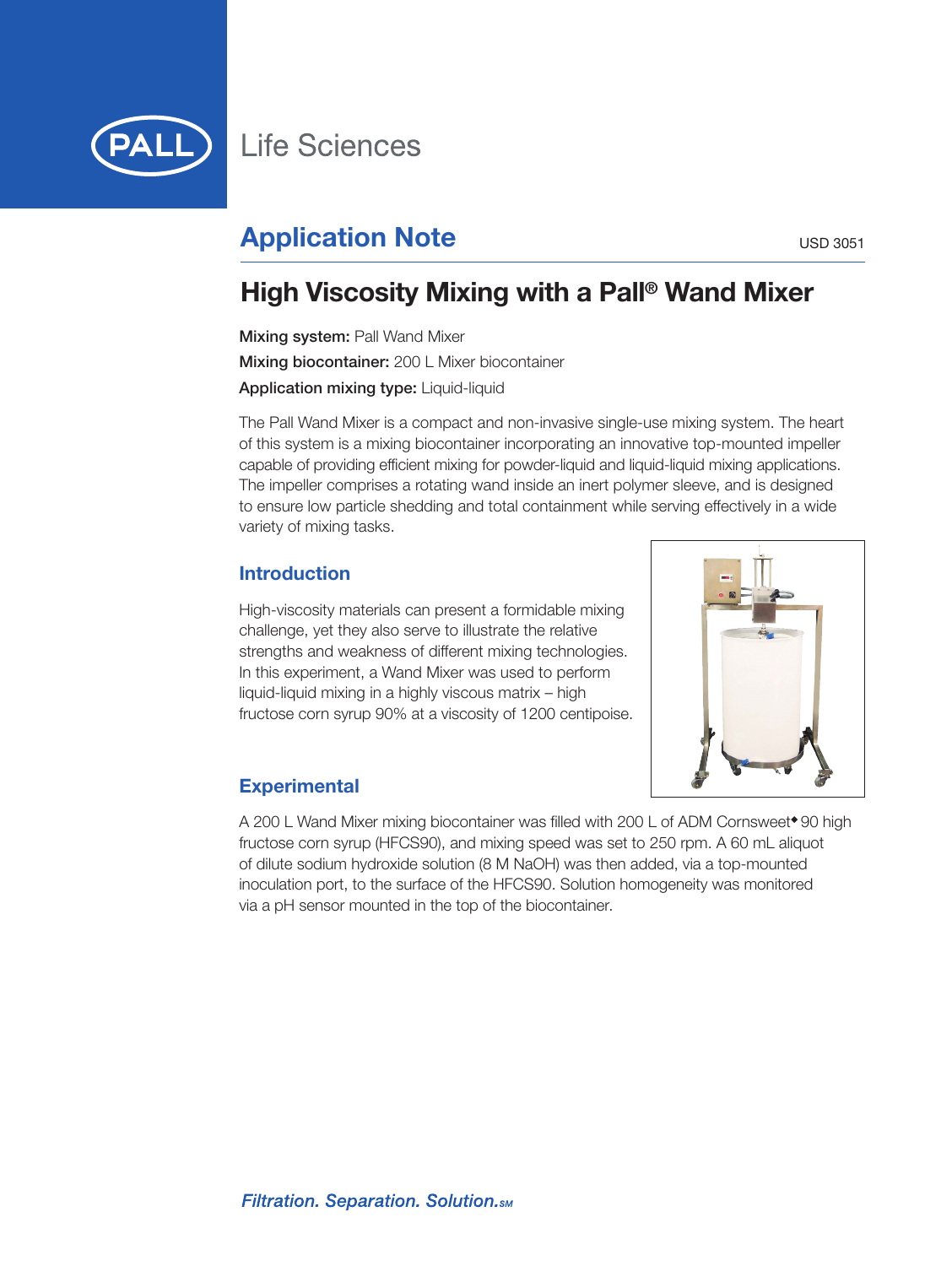

# **Application Note** USD 3051

## **High Viscosity Mixing with a Pall ® Wand Mixer**

**Mixing system:** Pall Wand Mixer **Mixing biocontainer:** 200 L Mixer biocontainer **Application mixing type:** Liquid-liquid

The Pall Wand Mixer is a compact and non-invasive single-use mixing system. The heart of this system is a mixing biocontainer incorporating an innovative top-mounted impeller capable of providing efficient mixing for powder-liquid and liquid-liquid mixing applications. The impeller comprises a rotating wand inside an inert polymer sleeve, and is designed to ensure low particle shedding and total containment while serving effectively in a wide variety of mixing tasks.

## **Introduction**

High-viscosity materials can present a formidable mixing challenge, yet they also serve to illustrate the relative strengths and weakness of different mixing technologies. In this experiment, a Wand Mixer was used to perform liquid-liquid mixing in a highly viscous matrix – high fructose corn syrup 90% at a viscosity of 1200 centipoise.



## **Experimental**

A 200 L Wand Mixer mixing biocontainer was filled with 200 L of ADM Cornsweet**◆** 90 high fructose corn syrup (HFCS90), and mixing speed was set to 250 rpm. A 60 mL aliquot of dilute sodium hydroxide solution (8 M NaOH) was then added, via a top-mounted inoculation port, to the surface of the HFCS90. Solution homogeneity was monitored via a pH sensor mounted in the top of the biocontainer.